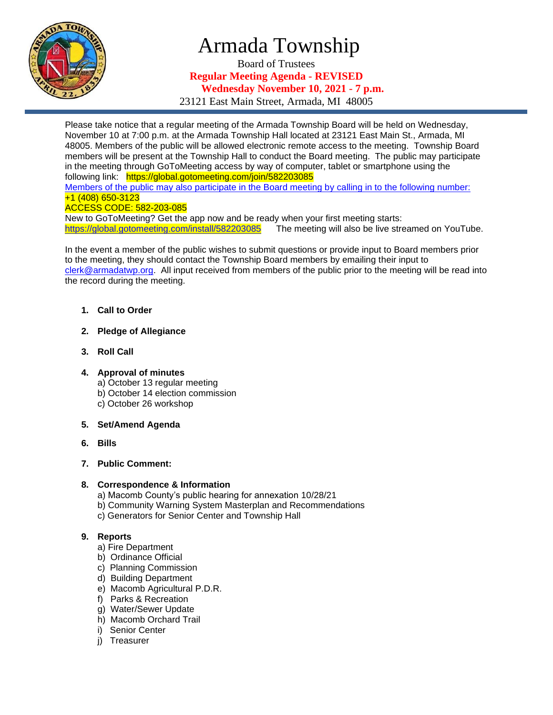

# Armada Township

Board of Trustees **Regular Meeting Agenda - REVISED Wednesday November 10, 2021 - 7 p.m.**

23121 East Main Street, Armada, MI 48005

Please take notice that a regular meeting of the Armada Township Board will be held on Wednesday, November 10 at 7:00 p.m. at the Armada Township Hall located at 23121 East Main St., Armada, MI 48005. Members of the public will be allowed electronic remote access to the meeting. Township Board members will be present at the Township Hall to conduct the Board meeting. The public may participate in the meeting through GoToMeeting access by way of computer, tablet or smartphone using the following link: https://global.gotomeeting.com/join/582203085 Members of the public may also participate in the Board meeting by calling in to the following number: +1 (408) 650-3123

## ACCESS CODE: 582-203-085

New to GoToMeeting? Get the app now and be ready when your first meeting starts: <https://global.gotomeeting.com/install/582203085>The meeting will also be live streamed on YouTube.

In the event a member of the public wishes to submit questions or provide input to Board members prior to the meeting, they should contact the Township Board members by emailing their input to [clerk@armadatwp.org.](mailto:clerk@armadatwp.org) All input received from members of the public prior to the meeting will be read into the record during the meeting.

- **1. Call to Order**
- **2. Pledge of Allegiance**
- **3. Roll Call**
- **4. Approval of minutes**

a) October 13 regular meeting

- b) October 14 election commission
- c) October 26 workshop
- **5. Set/Amend Agenda**
- **6. Bills**
- **7. Public Comment:**

## **8. Correspondence & Information**

- a) Macomb County's public hearing for annexation 10/28/21
- b) Community Warning System Masterplan and Recommendations
- c) Generators for Senior Center and Township Hall

# **9. Reports**

- a) Fire Department
- b) Ordinance Official
- c) Planning Commission
- d) Building Department
- e) Macomb Agricultural P.D.R.
- f) Parks & Recreation
- g) Water/Sewer Update
- h) Macomb Orchard Trail
- i) Senior Center
- j) Treasurer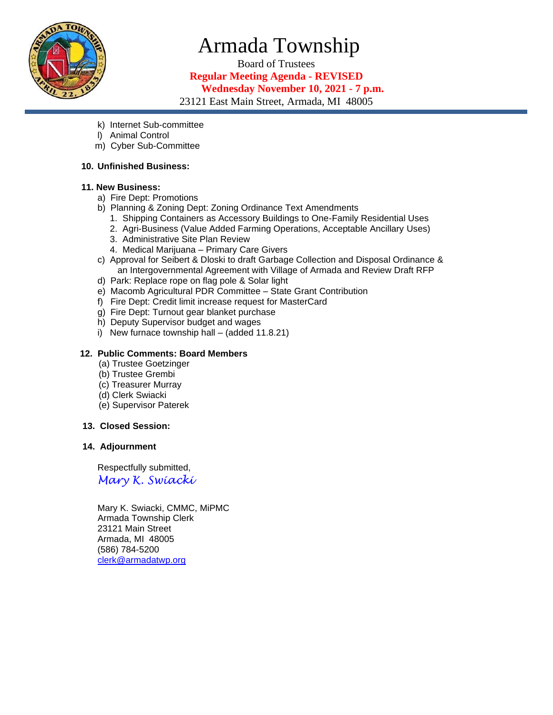

# Armada Township

Board of Trustees **Regular Meeting Agenda - REVISED Wednesday November 10, 2021 - 7 p.m.** 23121 East Main Street, Armada, MI 48005

- k) Internet Sub-committee
- l) Animal Control
- m) Cyber Sub-Committee

#### **10. Unfinished Business:**

#### **11. New Business:**

- a) Fire Dept: Promotions
- b) Planning & Zoning Dept: Zoning Ordinance Text Amendments
	- 1. Shipping Containers as Accessory Buildings to One-Family Residential Uses
	- 2. Agri-Business (Value Added Farming Operations, Acceptable Ancillary Uses)
	- 3. Administrative Site Plan Review
	- 4. Medical Marijuana Primary Care Givers
- c) Approval for Seibert & Dloski to draft Garbage Collection and Disposal Ordinance & an Intergovernmental Agreement with Village of Armada and Review Draft RFP
- d) Park: Replace rope on flag pole & Solar light
- e) Macomb Agricultural PDR Committee State Grant Contribution
- f) Fire Dept: Credit limit increase request for MasterCard
- g) Fire Dept: Turnout gear blanket purchase
- h) Deputy Supervisor budget and wages
- i) New furnace township hall (added 11.8.21)

## **12. Public Comments: Board Members**

- (a) Trustee Goetzinger
- (b) Trustee Grembi
- (c) Treasurer Murray
- (d) Clerk Swiacki
- (e) Supervisor Paterek

#### **13. Closed Session:**

# **14. Adjournment**

 Respectfully submitted, *Mary K. Swiacki*

 Mary K. Swiacki, CMMC, MiPMC Armada Township Clerk 23121 Main Street Armada, MI 48005 (586) 784-5200 [clerk@armadatwp.org](mailto:clerk@armadatwp.org)